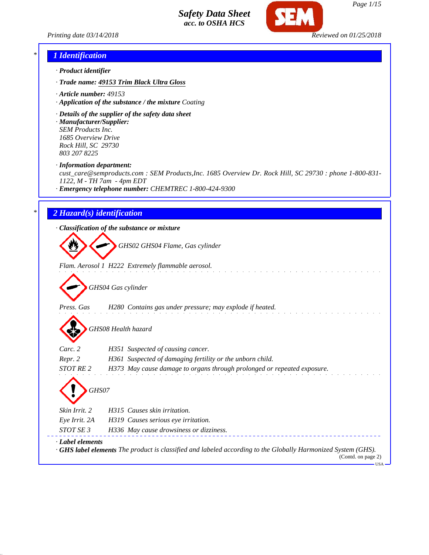



## *\* 1 Identification*

- *· Product identifier*
- *· Trade name: 49153 Trim Black Ultra Gloss*
- *· Article number: 49153*
- *· Application of the substance / the mixture Coating*
- *· Details of the supplier of the safety data sheet*
- *· Manufacturer/Supplier: SEM Products Inc. 1685 Overview Drive Rock Hill, SC 29730 803 207 8225*
- *· Information department:*

*cust\_care@semproducts.com : SEM Products,Inc. 1685 Overview Dr. Rock Hill, SC 29730 : phone 1-800-831- 1122, M - TH 7am - 4pm EDT*

*· Emergency telephone number: CHEMTREC 1-800-424-9300*

### *\* 2 Hazard(s) identification*

*· Classification of the substance or mixture*

*GHS02 GHS04 Flame, Gas cylinder*

*Flam. Aerosol 1 H222 Extremely flammable aerosol.*

*GHS04 Gas cylinder*

*Press. Gas H280 Contains gas under pressure; may explode if heated.*

*GHS08 Health hazard*

| Carc. 2                | H351 Suspected of causing cancer.                                                                                                         |
|------------------------|-------------------------------------------------------------------------------------------------------------------------------------------|
| Repr. 2                | H361 Suspected of damaging fertility or the unborn child.                                                                                 |
| STOT RE 2              | H373 May cause damage to organs through prolonged or repeated exposure.                                                                   |
| GHS07<br>Skin Irrit. 2 | H315 Causes skin irritation.                                                                                                              |
|                        |                                                                                                                                           |
| Eye Irrit. 2A          | H319 Causes serious eve irritation.                                                                                                       |
| STOT SE 3              | H336 May cause drowsiness or dizziness.                                                                                                   |
| · Label elements       | $\cdot$ GHS label elements The product is classified and labeled according to the Globally Harmonized System (GHS).<br>(Contd. on page 2) |

USA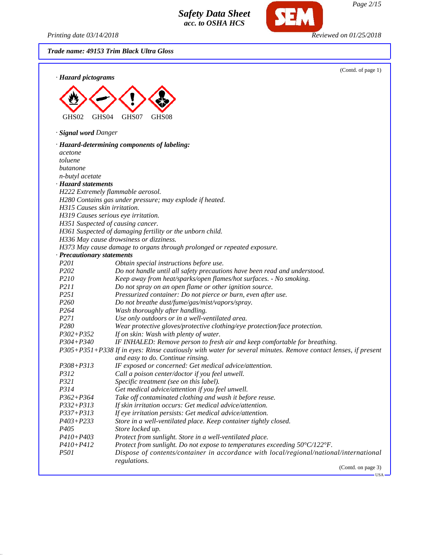*Printing date 03/14/2018 Reviewed on 01/25/2018*

**SEM** 

*Trade name: 49153 Trim Black Ultra Gloss*

| · Hazard pictograms               | (Contd. of page 1)                                                                                            |
|-----------------------------------|---------------------------------------------------------------------------------------------------------------|
|                                   |                                                                                                               |
|                                   |                                                                                                               |
| GHS02<br>GHS <sub>04</sub>        | GHS07<br>GHS08                                                                                                |
| · Signal word Danger              |                                                                                                               |
|                                   | · Hazard-determining components of labeling:                                                                  |
| acetone                           |                                                                                                               |
| toluene                           |                                                                                                               |
| butanone                          |                                                                                                               |
| n-butyl acetate                   |                                                                                                               |
| · Hazard statements               |                                                                                                               |
|                                   | H222 Extremely flammable aerosol.                                                                             |
|                                   | H280 Contains gas under pressure; may explode if heated.                                                      |
| H315 Causes skin irritation.      |                                                                                                               |
|                                   | H319 Causes serious eye irritation.                                                                           |
| H351 Suspected of causing cancer. |                                                                                                               |
|                                   | H361 Suspected of damaging fertility or the unborn child.                                                     |
|                                   | H336 May cause drowsiness or dizziness.                                                                       |
|                                   | H373 May cause damage to organs through prolonged or repeated exposure.                                       |
| · Precautionary statements        |                                                                                                               |
| P201                              | Obtain special instructions before use.                                                                       |
| P202                              | Do not handle until all safety precautions have been read and understood.                                     |
| P210                              | Keep away from heat/sparks/open flames/hot surfaces. - No smoking.                                            |
| <i>P211</i><br>P <sub>251</sub>   | Do not spray on an open flame or other ignition source.                                                       |
| P <sub>260</sub>                  | Pressurized container: Do not pierce or burn, even after use.                                                 |
| P <sub>264</sub>                  | Do not breathe dust/fume/gas/mist/vapors/spray.<br>Wash thoroughly after handling.                            |
| P271                              | Use only outdoors or in a well-ventilated area.                                                               |
| P280                              | Wear protective gloves/protective clothing/eye protection/face protection.                                    |
| $P302 + P352$                     | If on skin: Wash with plenty of water.                                                                        |
| P304+P340                         | IF INHALED: Remove person to fresh air and keep comfortable for breathing.                                    |
|                                   | P305+P351+P338 If in eyes: Rinse cautiously with water for several minutes. Remove contact lenses, if present |
|                                   | and easy to do. Continue rinsing.                                                                             |
| P308+P313                         | IF exposed or concerned: Get medical advice/attention.                                                        |
| <i>P312</i>                       | Call a poison center/doctor if you feel unwell.                                                               |
| P321                              | Specific treatment (see on this label).                                                                       |
| P314                              | Get medical advice/attention if you feel unwell.                                                              |
| $P362 + P364$                     | Take off contaminated clothing and wash it before reuse.                                                      |
| $P332 + P313$                     | If skin irritation occurs: Get medical advice/attention.                                                      |
| $P337 + P313$                     | If eye irritation persists: Get medical advice/attention.                                                     |
| $P403 + P233$                     | Store in a well-ventilated place. Keep container tightly closed.                                              |
| P <sub>405</sub>                  | Store locked up.                                                                                              |
| $P410 + P403$                     | Protect from sunlight. Store in a well-ventilated place.                                                      |
| P410+P412                         | Protect from sunlight. Do not expose to temperatures exceeding 50°C/122°F.                                    |
| <i>P501</i>                       | Dispose of contents/container in accordance with local/regional/national/international<br>regulations.        |

(Contd. on page 3)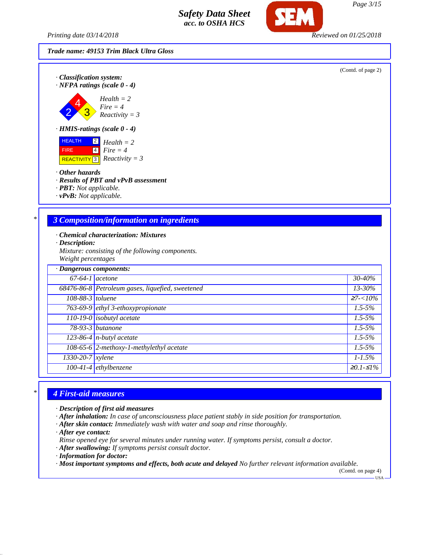*Printing date 03/14/2018 Reviewed on 01/25/2018*

*· Classification system:*

*Trade name: 49153 Trim Black Ultra Gloss*



 HEALTH FIRE  $\overline{\text{REACTIVITY 3}}$  *Reactivity* = 3 2 *Health = 2* 4 *Fire = 4*

*· Other hazards*

2 4 3

- *· Results of PBT and vPvB assessment*
- *· PBT: Not applicable.*
- *· vPvB: Not applicable.*

### *\* 3 Composition/information on ingredients*

- *· Chemical characterization: Mixtures*
- *· Description:*
- *Mixture: consisting of the following components. Weight percentages*

| · Dangerous components: |                                                  |             |
|-------------------------|--------------------------------------------------|-------------|
| $67-64-1$ acetone       |                                                  | 30-40%      |
|                         | 68476-86-8 Petroleum gases, liquefied, sweetened | $13 - 30\%$ |
| 108-88-3 toluene        |                                                  | $27 - 10\%$ |
|                         | 763-69-9 ethyl 3-ethoxypropionate                | $1.5 - 5\%$ |
|                         | 110-19-0 isobutyl acetate                        | $1.5 - 5\%$ |
|                         | 78-93-3 butanone                                 | $1.5 - 5\%$ |
|                         | 123-86-4 $n$ -butyl acetate                      | $1.5 - 5\%$ |
|                         | 108-65-6 2-methoxy-1-methylethyl acetate         | $1.5 - 5\%$ |
| 1330-20-7 xylene        |                                                  | $1 - 1.5\%$ |
|                         | $100-41-4$ ethylbenzene                          | $≥0.1-S1%$  |

## *\* 4 First-aid measures*

- *· Description of first aid measures*
- *· After inhalation: In case of unconsciousness place patient stably in side position for transportation.*
- *· After skin contact: Immediately wash with water and soap and rinse thoroughly.*
- *· After eye contact:*

*Rinse opened eye for several minutes under running water. If symptoms persist, consult a doctor.*

- *· After swallowing: If symptoms persist consult doctor.*
- *· Information for doctor:*

*· Most important symptoms and effects, both acute and delayed No further relevant information available.*

(Contd. on page 4) USA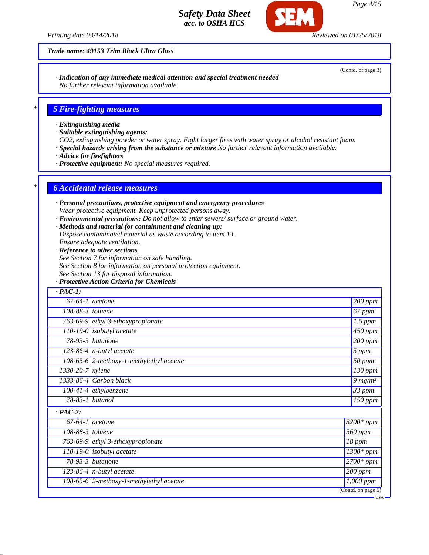*Printing date 03/14/2018 Reviewed on 01/25/2018*

*Trade name: 49153 Trim Black Ultra Gloss*

*· Indication of any immediate medical attention and special treatment needed No further relevant information available.*

### *\* 5 Fire-fighting measures*

- *· Extinguishing media*
- *· Suitable extinguishing agents:*
- *CO2, extinguishing powder or water spray. Fight larger fires with water spray or alcohol resistant foam.*
- *· Special hazards arising from the substance or mixture No further relevant information available.*
- *· Advice for firefighters*
- *· Protective equipment: No special measures required.*

#### *\* 6 Accidental release measures*

- *· Personal precautions, protective equipment and emergency procedures Wear protective equipment. Keep unprotected persons away.*
- *· Environmental precautions: Do not allow to enter sewers/ surface or ground water.*
- *· Methods and material for containment and cleaning up:*
- *Dispose contaminated material as waste according to item 13.*
- *Ensure adequate ventilation.*
- *· Reference to other sections*
- *See Section 7 for information on safe handling.*
- *See Section 8 for information on personal protection equipment.*
- *See Section 13 for disposal information.*
- *· Protective Action Criteria for Chemicals*

| $\cdot$ PAC-1:                |                                              |                        |
|-------------------------------|----------------------------------------------|------------------------|
|                               | $67-64-1$ acetone                            | 200 ppm                |
| 108-88-3 toluene              |                                              | 67 ppm                 |
|                               | 763-69-9 $\left $ ethyl 3-ethoxypropionate   | $1.6$ ppm              |
|                               | $110-19-0$ isobutyl acetate                  | $450$ ppm              |
|                               | $78-93-3$ butanone                           | $\overline{200}$ ppm   |
|                               | $\overline{123}$ -86-4   n-butyl acetate     | 5 ppm                  |
|                               | 108-65-6 2-methoxy-1-methylethyl acetate     | $\overline{50}$ ppm    |
| $1330 - 20 - 7$ <i>xylene</i> |                                              | $\overline{130}$ ppm   |
|                               | 1333-86-4 Carbon black                       | 9 $mg/m^3$             |
|                               | $100-41-4$ ethylbenzene                      | 33 ppm                 |
|                               | 78-83-1 butanol                              | 150 ppm                |
| $\cdot$ PAC-2:                |                                              |                        |
|                               | $67-64-1$ acetone                            | $3200*$ ppm            |
| $108-88-3$ toluene            |                                              | 560 ppm                |
|                               | 763-69-9 ethyl 3-ethoxypropionate            | $\overline{18}$ ppm    |
|                               | $110-19-0$ isobutyl acetate                  | $\overline{1300*ppm}$  |
|                               | $78-93-3$ butanone                           | $\frac{1}{2700}$ * ppm |
|                               | 123-86-4 $n$ -butyl acetate                  | 200 ppm                |
|                               | 108-65-6 $ 2$ -methoxy-1-methylethyl acetate | $1,000$ ppm            |
|                               |                                              | (Cond. on page 5)      |

(Contd. of page 3)

*Page 4/15*

USA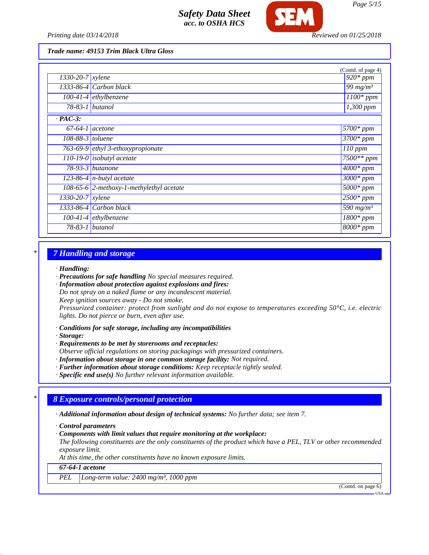

*Printing date 03/14/2018 Reviewed on 01/25/2018*

*Trade name: 49153 Trim Black Ultra Gloss*

|                               |                                          | (Contd. of page 4)            |
|-------------------------------|------------------------------------------|-------------------------------|
| $1330 - 20 - 7$ xylene        |                                          | $\overline{920}$ * ppm        |
|                               | 1333-86-4 Carbon black                   | $\sqrt{99}$ mg/m <sup>3</sup> |
|                               | $\overline{100}$ -41-4 ethylbenzene      | $1100*$ ppm                   |
| 78-83-1 butanol               |                                          | 1,300 ppm                     |
| $\cdot$ PAC-3:                |                                          |                               |
| $67-64-1$ acetone             |                                          | $5700*ppm$                    |
| $108-88-3$ toluene            |                                          | $3700*$ ppm                   |
|                               | 763-69-9 ethyl 3-ethoxypropionate        | 110 ppm                       |
|                               | $110-19-0$ isobutyl acetate              | 7500** ppm                    |
|                               | $\overline{78}$ -93-3 butanone           | $\overline{4000}$ * ppm       |
|                               | $\sqrt{123-86-4}$ n-butyl acetate        | $3000*$ ppm                   |
|                               | 108-65-6 2-methoxy-1-methylethyl acetate | $5000*$ ppm                   |
| $\overline{1330-20-7}$ xylene |                                          | $2500*$ ppm                   |
|                               | 1333-86-4 Carbon black                   | 590 mg/m <sup>3</sup>         |
|                               | $100-41-4$ ethylbenzene                  | $\overline{1800}$ * ppm       |
| 78-83-1 butanol               |                                          | $8000*$ ppm                   |

#### *\* 7 Handling and storage*

#### *· Handling:*

*· Precautions for safe handling No special measures required.*

*· Information about protection against explosions and fires:*

*Do not spray on a naked flame or any incandescent material. Keep ignition sources away - Do not smoke.*

*Pressurized container: protect from sunlight and do not expose to temperatures exceeding 50°C, i.e. electric lights. Do not pierce or burn, even after use.*

*· Conditions for safe storage, including any incompatibilities*

*· Storage:*

*· Requirements to be met by storerooms and receptacles: Observe official regulations on storing packagings with pressurized containers.*

*· Information about storage in one common storage facility: Not required.*

*· Further information about storage conditions: Keep receptacle tightly sealed.*

*· Specific end use(s) No further relevant information available.*

## *\* 8 Exposure controls/personal protection*

*· Additional information about design of technical systems: No further data; see item 7.*

*· Control parameters*

*· Components with limit values that require monitoring at the workplace:*

*The following constituents are the only constituents of the product which have a PEL, TLV or other recommended exposure limit.*

*At this time, the other constituents have no known exposure limits.*

#### *67-64-1 acetone*

*PEL Long-term value: 2400 mg/m³, 1000 ppm*

(Contd. on page 6)

USA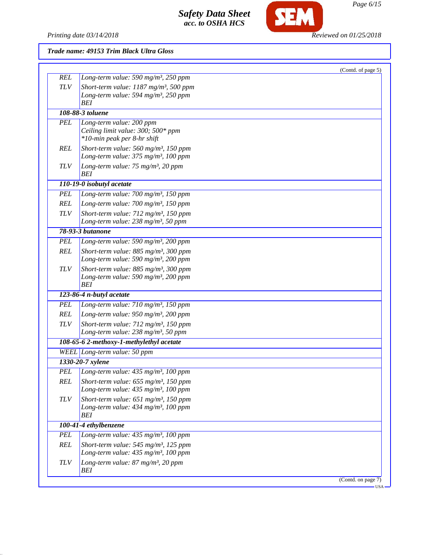

SEM

## *Trade name: 49153 Trim Black Ultra Gloss*

|            |                                                                                                      | (Contd. of page 5) |
|------------|------------------------------------------------------------------------------------------------------|--------------------|
| <b>REL</b> | Long-term value: 590 mg/m <sup>3</sup> , 250 ppm                                                     |                    |
| <b>TLV</b> | Short-term value: 1187 mg/m <sup>3</sup> , 500 ppm                                                   |                    |
|            | Long-term value: 594 mg/m <sup>3</sup> , 250 ppm<br><b>BEI</b>                                       |                    |
|            | 108-88-3 toluene                                                                                     |                    |
| <b>PEL</b> | Long-term value: 200 ppm                                                                             |                    |
|            | Ceiling limit value: 300; 500* ppm                                                                   |                    |
|            | *10-min peak per 8-hr shift                                                                          |                    |
| <b>REL</b> | Short-term value: $560$ mg/m <sup>3</sup> , 150 ppm                                                  |                    |
|            | Long-term value: 375 mg/m <sup>3</sup> , 100 ppm                                                     |                    |
| <b>TLV</b> | Long-term value: 75 mg/m <sup>3</sup> , 20 ppm                                                       |                    |
|            | BEI                                                                                                  |                    |
|            | 110-19-0 isobutyl acetate                                                                            |                    |
| <b>PEL</b> | Long-term value: 700 mg/m <sup>3</sup> , 150 ppm                                                     |                    |
| <b>REL</b> | Long-term value: 700 mg/m <sup>3</sup> , 150 ppm                                                     |                    |
| <b>TLV</b> | Short-term value: $712$ mg/m <sup>3</sup> , 150 ppm                                                  |                    |
|            | Long-term value: 238 mg/m <sup>3</sup> , 50 ppm                                                      |                    |
|            | 78-93-3 butanone                                                                                     |                    |
| <b>PEL</b> | Long-term value: 590 mg/m <sup>3</sup> , 200 ppm                                                     |                    |
| <b>REL</b> | Short-term value: 885 mg/m <sup>3</sup> , 300 ppm                                                    |                    |
|            | Long-term value: 590 mg/m <sup>3</sup> , 200 ppm                                                     |                    |
| <b>TLV</b> | Short-term value: $885$ mg/m <sup>3</sup> , 300 ppm                                                  |                    |
|            | Long-term value: 590 mg/m <sup>3</sup> , 200 ppm<br><b>BEI</b>                                       |                    |
|            | 123-86-4 n-butyl acetate                                                                             |                    |
| <b>PEL</b> | Long-term value: 710 mg/m <sup>3</sup> , 150 ppm                                                     |                    |
| <b>REL</b> | Long-term value: 950 mg/m <sup>3</sup> , 200 ppm                                                     |                    |
|            |                                                                                                      |                    |
| <b>TLV</b> | Short-term value: 712 mg/m <sup>3</sup> , 150 ppm<br>Long-term value: 238 mg/m <sup>3</sup> , 50 ppm |                    |
|            | 108-65-6 2-methoxy-1-methylethyl acetate                                                             |                    |
|            | WEEL Long-term value: 50 ppm                                                                         |                    |
|            | 1330-20-7 xylene                                                                                     |                    |
| <b>PEL</b> | Long-term value: $435$ mg/m <sup>3</sup> , 100 ppm                                                   |                    |
| <b>REL</b> | Short-term value: $655$ mg/m <sup>3</sup> , 150 ppm                                                  |                    |
|            | Long-term value: 435 mg/m <sup>3</sup> , 100 ppm                                                     |                    |
| <b>TLV</b> | Short-term value: $651$ mg/m <sup>3</sup> , 150 ppm                                                  |                    |
|            | Long-term value: $434$ mg/m <sup>3</sup> , 100 ppm                                                   |                    |
|            | <b>BEI</b>                                                                                           |                    |
|            | 100-41-4 ethylbenzene                                                                                |                    |
| <b>PEL</b> | Long-term value: 435 mg/m <sup>3</sup> , 100 ppm                                                     |                    |
| <b>REL</b> | Short-term value: 545 mg/m <sup>3</sup> , 125 ppm                                                    |                    |
|            | Long-term value: 435 mg/m <sup>3</sup> , 100 ppm                                                     |                    |
|            |                                                                                                      |                    |
| <b>TLV</b> | Long-term value: 87 mg/m <sup>3</sup> , 20 ppm<br>BEI                                                |                    |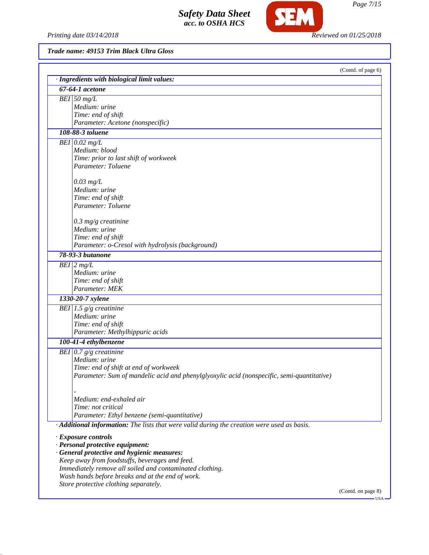

SEM

*Trade name: 49153 Trim Black Ultra Gloss*

| · Ingredients with biological limit values:                                                 |                    |
|---------------------------------------------------------------------------------------------|--------------------|
| 67-64-1 acetone                                                                             |                    |
| $BEI$ 50 mg/L                                                                               |                    |
| Medium: urine                                                                               |                    |
| Time: end of shift                                                                          |                    |
| Parameter: Acetone (nonspecific)                                                            |                    |
| 108-88-3 toluene                                                                            |                    |
| $BEI$ 0.02 mg/L                                                                             |                    |
| Medium: blood                                                                               |                    |
| Time: prior to last shift of workweek                                                       |                    |
| Parameter: Toluene                                                                          |                    |
| $0.03$ mg/L                                                                                 |                    |
| Medium: urine                                                                               |                    |
| Time: end of shift                                                                          |                    |
| Parameter: Toluene                                                                          |                    |
|                                                                                             |                    |
| $0.3$ mg/g creatinine                                                                       |                    |
| Medium: urine                                                                               |                    |
| Time: end of shift                                                                          |                    |
| Parameter: o-Cresol with hydrolysis (background)                                            |                    |
| 78-93-3 butanone                                                                            |                    |
| $BEI$ 2 mg/L                                                                                |                    |
| Medium: urine                                                                               |                    |
| Time: end of shift                                                                          |                    |
| Parameter: MEK                                                                              |                    |
| 1330-20-7 xylene                                                                            |                    |
| BEI $1.5$ g/g creatinine                                                                    |                    |
| Medium: urine                                                                               |                    |
| Time: end of shift                                                                          |                    |
| Parameter: Methylhippuric acids                                                             |                    |
| 100-41-4 ethylbenzene                                                                       |                    |
| BEI $0.7$ g/g creatinine                                                                    |                    |
| Medium: urine                                                                               |                    |
| Time: end of shift at end of workweek                                                       |                    |
| Parameter: Sum of mandelic acid and phenylglyoxylic acid (nonspecific, semi-quantitative)   |                    |
|                                                                                             |                    |
|                                                                                             |                    |
| Medium: end-exhaled air                                                                     |                    |
| Time: not critical                                                                          |                    |
| Parameter: Ethyl benzene (semi-quantitative)                                                |                    |
| · Additional information: The lists that were valid during the creation were used as basis. |                    |
| · Exposure controls                                                                         |                    |
| · Personal protective equipment:                                                            |                    |
| · General protective and hygienic measures:                                                 |                    |
| Keep away from foodstuffs, beverages and feed.                                              |                    |
| Immediately remove all soiled and contaminated clothing.                                    |                    |
| Wash hands before breaks and at the end of work.                                            |                    |
| Store protective clothing separately.                                                       |                    |
|                                                                                             | (Contd. on page 8) |

*Page 7/15*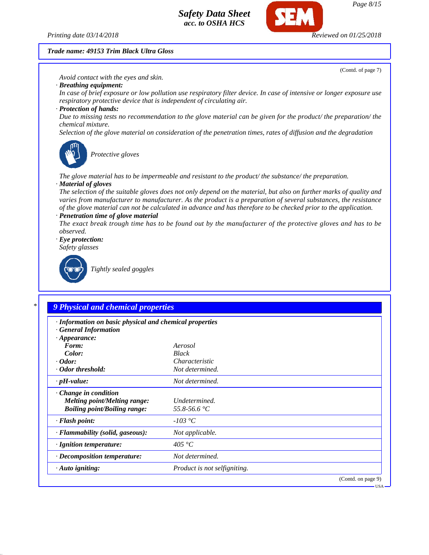

#### *Trade name: 49153 Trim Black Ultra Gloss*

(Contd. of page 7)

*Avoid contact with the eyes and skin.*

*· Breathing equipment:*

*In case of brief exposure or low pollution use respiratory filter device. In case of intensive or longer exposure use respiratory protective device that is independent of circulating air.*

*· Protection of hands:*

*Due to missing tests no recommendation to the glove material can be given for the product/ the preparation/ the chemical mixture.*

*Selection of the glove material on consideration of the penetration times, rates of diffusion and the degradation*



*Protective gloves*

*The glove material has to be impermeable and resistant to the product/ the substance/ the preparation. · Material of gloves*

*The selection of the suitable gloves does not only depend on the material, but also on further marks of quality and varies from manufacturer to manufacturer. As the product is a preparation of several substances, the resistance of the glove material can not be calculated in advance and has therefore to be checked prior to the application.*

*· Penetration time of glove material*

*The exact break trough time has to be found out by the manufacturer of the protective gloves and has to be observed.*

*· Eye protection:*

*Safety glasses*



*Tightly sealed goggles*

### *\* 9 Physical and chemical properties*

| · Information on basic physical and chemical properties<br>· General Information                          |                               |                    |
|-----------------------------------------------------------------------------------------------------------|-------------------------------|--------------------|
| $\cdot$ Appearance:<br>Form:                                                                              | Aerosol                       |                    |
| Color:                                                                                                    | <b>Black</b>                  |                    |
| $\cdot$ Odor:                                                                                             | Characteristic                |                    |
| · Odor threshold:                                                                                         | Not determined.               |                    |
| $\cdot$ pH-value:                                                                                         | Not determined.               |                    |
| $\cdot$ Change in condition<br><b>Melting point/Melting range:</b><br><b>Boiling point/Boiling range:</b> | Undetermined.<br>55.8-56.6 °C |                    |
| $\cdot$ Flash point:                                                                                      | $-103\text{ °C}$              |                    |
| · Flammability (solid, gaseous):                                                                          | Not applicable.               |                    |
| · Ignition temperature:                                                                                   | 405 °C                        |                    |
| $\cdot$ Decomposition temperature:                                                                        | Not determined.               |                    |
| $\cdot$ Auto igniting:                                                                                    | Product is not selfigniting.  |                    |
|                                                                                                           |                               | (Contd. on page 9) |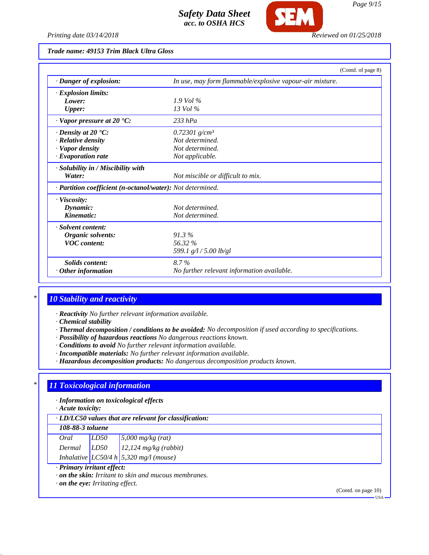

### *Trade name: 49153 Trim Black Ultra Gloss*

|                                                            |                                                          | (Contd. of page 8) |
|------------------------------------------------------------|----------------------------------------------------------|--------------------|
| · Danger of explosion:                                     | In use, may form flammable/explosive vapour-air mixture. |                    |
| · Explosion limits:                                        |                                                          |                    |
| Lower:                                                     | $1.9$ Vol %                                              |                    |
| <b>Upper:</b>                                              | $13$ Vol $\%$                                            |                    |
| $\cdot$ Vapor pressure at 20 $\cdot$ C:                    | $233$ hPa                                                |                    |
| $\cdot$ Density at 20 $\textdegree$ C:                     | 0.72301 $g/cm^{3}$                                       |                    |
| $\cdot$ Relative density                                   | Not determined.                                          |                    |
| · Vapor density                                            | Not determined.                                          |                    |
| $\cdot$ Evaporation rate                                   | Not applicable.                                          |                    |
| $\cdot$ Solubility in / Miscibility with                   |                                                          |                    |
| Water:                                                     | Not miscible or difficult to mix.                        |                    |
| · Partition coefficient (n-octanol/water): Not determined. |                                                          |                    |
| $\cdot$ Viscosity:                                         |                                                          |                    |
| Dynamic:                                                   | Not determined.                                          |                    |
| Kinematic:                                                 | Not determined.                                          |                    |
| · Solvent content:                                         |                                                          |                    |
| Organic solvents:                                          | 91.3%                                                    |                    |
| <b>VOC</b> content:                                        | 56.32 %                                                  |                    |
|                                                            | 599.1 g/l / 5.00 lb/gl                                   |                    |
| Solids content:                                            | $8.7\%$                                                  |                    |
| Other information                                          | No further relevant information available.               |                    |

### *\* 10 Stability and reactivity*

*· Reactivity No further relevant information available.*

*· Chemical stability*

- *· Thermal decomposition / conditions to be avoided: No decomposition if used according to specifications.*
- *· Possibility of hazardous reactions No dangerous reactions known.*
- *· Conditions to avoid No further relevant information available.*
- *· Incompatible materials: No further relevant information available.*
- *· Hazardous decomposition products: No dangerous decomposition products known.*

#### *\* 11 Toxicological information*

*· Information on toxicological effects*

*· Acute toxicity:*

*· LD/LC50 values that are relevant for classification:*

*108-88-3 toluene*

| Oral   | LD50 | $5,000$ mg/kg (rat)                        |
|--------|------|--------------------------------------------|
| Dermal | LD50 | $12,124$ mg/kg (rabbit)                    |
|        |      | Inhalative $LC50/4 h   5,320 mg/l$ (mouse) |

*· Primary irritant effect:*

*· on the skin: Irritant to skin and mucous membranes.*

*· on the eye: Irritating effect.*

(Contd. on page 10)

USA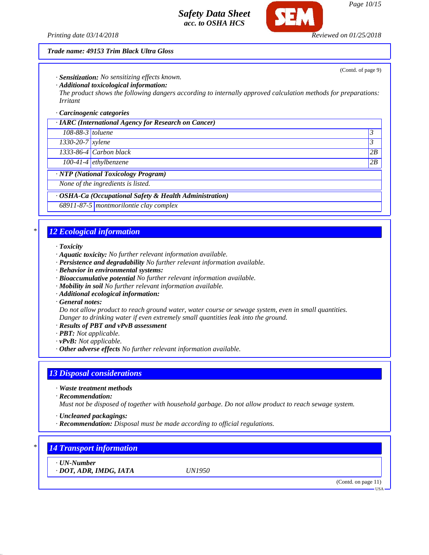*Printing date 03/14/2018 Reviewed on 01/25/2018*

#### *Trade name: 49153 Trim Black Ultra Gloss*

*· Sensitization: No sensitizing effects known.*

*· Additional toxicological information:*

*The product shows the following dangers according to internally approved calculation methods for preparations: Irritant*

#### *· Carcinogenic categories*

|                        | $\cdot$ IARC (International Agency for Research on Cancer) |    |
|------------------------|------------------------------------------------------------|----|
| $108-88-3$ toluene     |                                                            |    |
| $1330 - 20 - 7$ xylene |                                                            |    |
|                        | $1333-86-4$ Carbon black                                   | 2B |
|                        | $100-41-4$ ethylbenzene                                    | 2B |
| $\mathbf{X}$           | $\cdots$<br>$\mathbf{r}$                                   |    |

*· NTP (National Toxicology Program)*

*None of the ingredients is listed.*

#### *· OSHA-Ca (Occupational Safety & Health Administration)*

*68911-87-5 montmorilontie clay complex*

### *\* 12 Ecological information*

*· Toxicity*

- *· Aquatic toxicity: No further relevant information available.*
- *· Persistence and degradability No further relevant information available.*
- *· Behavior in environmental systems:*
- *· Bioaccumulative potential No further relevant information available.*
- *· Mobility in soil No further relevant information available.*
- *· Additional ecological information:*
- *· General notes:*

*Do not allow product to reach ground water, water course or sewage system, even in small quantities. Danger to drinking water if even extremely small quantities leak into the ground.*

- *· Results of PBT and vPvB assessment*
- *· PBT: Not applicable.*
- *· vPvB: Not applicable.*
- *· Other adverse effects No further relevant information available.*

## *13 Disposal considerations*

- *· Waste treatment methods*
- *· Recommendation:*

*Must not be disposed of together with household garbage. Do not allow product to reach sewage system.*

- *· Uncleaned packagings:*
- *· Recommendation: Disposal must be made according to official regulations.*

## *\* 14 Transport information*

*· UN-Number*

*· DOT, ADR, IMDG, IATA UN1950*

(Contd. on page 11)

USA

(Contd. of page 9)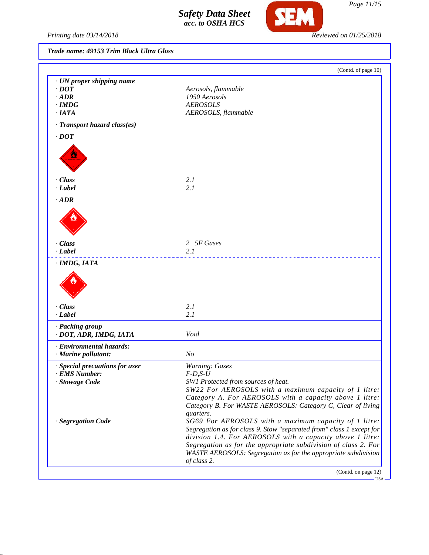

SEM

*Trade name: 49153 Trim Black Ultra Gloss*

|                                | (Contd. of page 10)                                                                                                                                                                                                                                                                                                                                                                                                                                                                                                              |
|--------------------------------|----------------------------------------------------------------------------------------------------------------------------------------------------------------------------------------------------------------------------------------------------------------------------------------------------------------------------------------------------------------------------------------------------------------------------------------------------------------------------------------------------------------------------------|
| · UN proper shipping name      |                                                                                                                                                                                                                                                                                                                                                                                                                                                                                                                                  |
| $\cdot$ DOT                    | Aerosols, flammable                                                                                                                                                                                                                                                                                                                                                                                                                                                                                                              |
| $\cdot$ ADR                    | 1950 Aerosols                                                                                                                                                                                                                                                                                                                                                                                                                                                                                                                    |
| $\cdot$ IMDG                   | <b>AEROSOLS</b>                                                                                                                                                                                                                                                                                                                                                                                                                                                                                                                  |
| $\cdot$ IATA                   | AEROSOLS, flammable                                                                                                                                                                                                                                                                                                                                                                                                                                                                                                              |
| · Transport hazard class(es)   |                                                                                                                                                                                                                                                                                                                                                                                                                                                                                                                                  |
| $\cdot$ DOT                    |                                                                                                                                                                                                                                                                                                                                                                                                                                                                                                                                  |
|                                |                                                                                                                                                                                                                                                                                                                                                                                                                                                                                                                                  |
| · Class                        | 2.1                                                                                                                                                                                                                                                                                                                                                                                                                                                                                                                              |
| · Label                        | 2.1                                                                                                                                                                                                                                                                                                                                                                                                                                                                                                                              |
| $\cdot$ ADR                    |                                                                                                                                                                                                                                                                                                                                                                                                                                                                                                                                  |
| $\cdot Class$                  | 2 5F Gases                                                                                                                                                                                                                                                                                                                                                                                                                                                                                                                       |
| · Label                        | 2.1                                                                                                                                                                                                                                                                                                                                                                                                                                                                                                                              |
|                                |                                                                                                                                                                                                                                                                                                                                                                                                                                                                                                                                  |
| · Class                        | 2.1                                                                                                                                                                                                                                                                                                                                                                                                                                                                                                                              |
| · Label                        | 2.1                                                                                                                                                                                                                                                                                                                                                                                                                                                                                                                              |
| · Packing group                |                                                                                                                                                                                                                                                                                                                                                                                                                                                                                                                                  |
| · DOT, ADR, IMDG, IATA         | Void                                                                                                                                                                                                                                                                                                                                                                                                                                                                                                                             |
|                                |                                                                                                                                                                                                                                                                                                                                                                                                                                                                                                                                  |
| · Environmental hazards:       |                                                                                                                                                                                                                                                                                                                                                                                                                                                                                                                                  |
| · Marine pollutant:            | N <sub>O</sub>                                                                                                                                                                                                                                                                                                                                                                                                                                                                                                                   |
| · Special precautions for user | <b>Warning: Gases</b>                                                                                                                                                                                                                                                                                                                                                                                                                                                                                                            |
| · EMS Number:                  | $F-D, S-U$                                                                                                                                                                                                                                                                                                                                                                                                                                                                                                                       |
| Stowage Code                   | SW1 Protected from sources of heat.                                                                                                                                                                                                                                                                                                                                                                                                                                                                                              |
|                                |                                                                                                                                                                                                                                                                                                                                                                                                                                                                                                                                  |
|                                |                                                                                                                                                                                                                                                                                                                                                                                                                                                                                                                                  |
|                                |                                                                                                                                                                                                                                                                                                                                                                                                                                                                                                                                  |
|                                | quarters.                                                                                                                                                                                                                                                                                                                                                                                                                                                                                                                        |
| · Segregation Code             |                                                                                                                                                                                                                                                                                                                                                                                                                                                                                                                                  |
|                                |                                                                                                                                                                                                                                                                                                                                                                                                                                                                                                                                  |
|                                |                                                                                                                                                                                                                                                                                                                                                                                                                                                                                                                                  |
|                                | SW22 For AEROSOLS with a maximum capacity of 1 litre:<br>Category A. For AEROSOLS with a capacity above 1 litre:<br>Category B. For WASTE AEROSOLS: Category C, Clear of living<br>SG69 For AEROSOLS with a maximum capacity of 1 litre:<br>Segregation as for class 9. Stow "separated from" class 1 except for<br>division 1.4. For AEROSOLS with a capacity above 1 litre:<br>Segregation as for the appropriate subdivision of class 2. For<br>WASTE AEROSOLS: Segregation as for the appropriate subdivision<br>of class 2. |

*Page 11/15*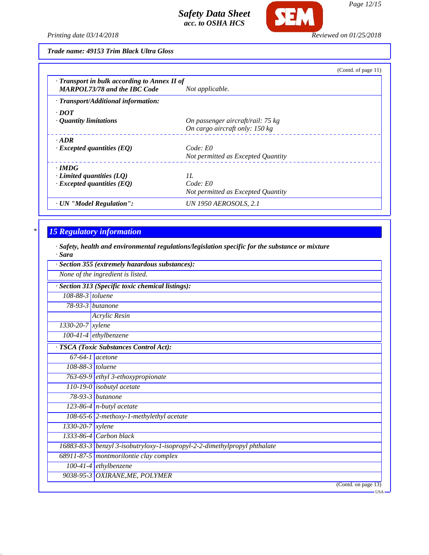

**SEM** 

*Trade name: 49153 Trim Black Ultra Gloss*

|                                              | (Contd. of page $11$ )             |
|----------------------------------------------|------------------------------------|
| · Transport in bulk according to Annex II of |                                    |
| <b>MARPOL73/78 and the IBC Code</b>          | Not applicable.                    |
| $\cdot$ Transport/Additional information:    |                                    |
| $\cdot$ DOT                                  |                                    |
| $\cdot$ Quantity limitations                 | On passenger aircraft/rail: 75 kg  |
|                                              | On cargo aircraft only: 150 kg     |
| $\cdot$ ADR                                  |                                    |
| $\cdot$ Excepted quantities (EQ)             | Code: E0                           |
|                                              | Not permitted as Excepted Quantity |
| $\cdot$ IMDG                                 |                                    |
| $\cdot$ Limited quantities (LQ)              | H                                  |
| $\cdot$ Excepted quantities (EQ)             | Code: E0                           |
|                                              | Not permitted as Excepted Quantity |
| · UN "Model Regulation":                     | UN 1950 AEROSOLS, 2.1              |

# *\* 15 Regulatory information*

*· Safety, health and environmental regulations/legislation specific for the substance or mixture · Sara*

|                                                   | · Section 355 (extremely hazardous substances):                           |  |  |
|---------------------------------------------------|---------------------------------------------------------------------------|--|--|
| None of the ingredient is listed.                 |                                                                           |  |  |
| · Section 313 (Specific toxic chemical listings): |                                                                           |  |  |
| 108-88-3 toluene                                  |                                                                           |  |  |
|                                                   | $\overline{78-93-3}$ butanone                                             |  |  |
|                                                   | Acrylic Resin                                                             |  |  |
| 1330-20-7 xylene                                  |                                                                           |  |  |
|                                                   | $100-41-4$ ethylbenzene                                                   |  |  |
| · TSCA (Toxic Substances Control Act):            |                                                                           |  |  |
|                                                   | $67-64-1$ acetone                                                         |  |  |
|                                                   | 108-88-3 toluene                                                          |  |  |
|                                                   | 763-69-9 ethyl 3-ethoxypropionate                                         |  |  |
|                                                   | 110-19-0 isobutyl acetate                                                 |  |  |
|                                                   | $78-93-3$ butanone                                                        |  |  |
|                                                   | $\overline{123}$ -86-4   n-butyl acetate                                  |  |  |
|                                                   | 108-65-6 2-methoxy-1-methylethyl acetate                                  |  |  |
| $1330 - 20 - 7$ xylene                            |                                                                           |  |  |
|                                                   | $1333-86-4$ Carbon black                                                  |  |  |
|                                                   | 16883-83-3 benzyl 3-isobutryloxy-1-isopropyl-2-2-dimethylpropyl phthalate |  |  |
|                                                   | 68911-87-5 montmorilontie clay complex                                    |  |  |
|                                                   | $100-41-4$ ethylbenzene                                                   |  |  |
|                                                   | 9038-95-3 OXIRANE, ME, POLYMER                                            |  |  |
|                                                   | (Contd. on page 13)<br>—— USA                                             |  |  |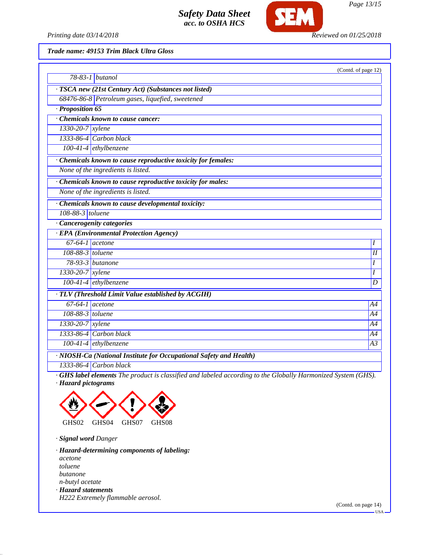

*Page 13/15*

*Printing date 03/14/2018 Reviewed on 01/25/2018*

*Trade name: 49153 Trim Black Ultra Gloss*

|                                                                    |                                                                                                              | (Contd. of page 12) |
|--------------------------------------------------------------------|--------------------------------------------------------------------------------------------------------------|---------------------|
|                                                                    | $\overline{78}$ -83-1   butanol                                                                              |                     |
|                                                                    | · TSCA new (21st Century Act) (Substances not listed)                                                        |                     |
|                                                                    | 68476-86-8 Petroleum gases, liquefied, sweetened                                                             |                     |
| $\cdot$ Proposition 65                                             |                                                                                                              |                     |
|                                                                    | Chemicals known to cause cancer:                                                                             |                     |
| $1330-20-7$ xylene                                                 |                                                                                                              |                     |
|                                                                    | 1333-86-4 Carbon black                                                                                       |                     |
|                                                                    | $100-41-4$ ethylbenzene                                                                                      |                     |
|                                                                    | · Chemicals known to cause reproductive toxicity for females:                                                |                     |
|                                                                    | None of the ingredients is listed.                                                                           |                     |
|                                                                    | Chemicals known to cause reproductive toxicity for males:                                                    |                     |
|                                                                    | None of the ingredients is listed.                                                                           |                     |
|                                                                    | Chemicals known to cause developmental toxicity:                                                             |                     |
| 108-88-3 toluene                                                   |                                                                                                              |                     |
|                                                                    | · Cancerogenity categories                                                                                   |                     |
|                                                                    | <b>EPA</b> (Environmental Protection Agency)                                                                 |                     |
| $67-64-1$ acetone                                                  |                                                                                                              | I                   |
| 108-88-3 $toluene$                                                 |                                                                                                              | I                   |
|                                                                    | 78-93-3 butanone                                                                                             | I                   |
| $1330 - 20 - 7$ xylene                                             |                                                                                                              | I                   |
|                                                                    | $100-41-4$ ethylbenzene                                                                                      | D                   |
| · TLV (Threshold Limit Value established by ACGIH)                 |                                                                                                              |                     |
| $67-64-1$ acetone                                                  |                                                                                                              | A4                  |
| 108-88-3 toluene                                                   |                                                                                                              | A4                  |
| 1330-20-7 xylene                                                   |                                                                                                              | A4                  |
|                                                                    | 1333-86-4 Carbon black                                                                                       | A4                  |
|                                                                    | $100-41-4$ ethylbenzene                                                                                      | A <sub>3</sub>      |
| · NIOSH-Ca (National Institute for Occupational Safety and Health) |                                                                                                              |                     |
|                                                                    | 1333-86-4 Carbon black                                                                                       |                     |
|                                                                    | $CHS$ label elements The product is classified and labeled according to the Globally Harmonized System (GHS) |                     |

*· GHS label elements The product is classified and labeled according to the Globally Harmonized System (GHS). · Hazard pictograms*



*· Signal word Danger*

*· Hazard-determining components of labeling: acetone toluene butanone n-butyl acetate · Hazard statements H222 Extremely flammable aerosol.*

(Contd. on page 14)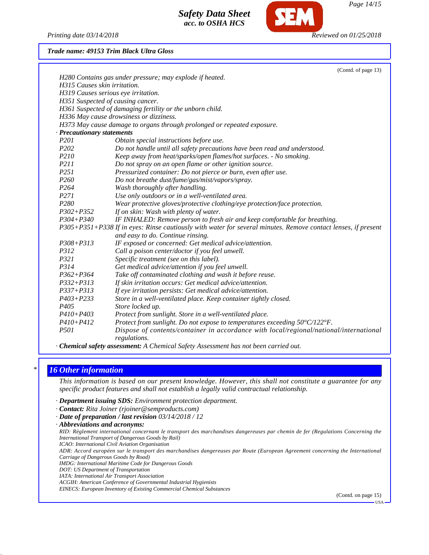*Printing date 03/14/2018 Reviewed on 01/25/2018*

*Page 14/15*

#### *Trade name: 49153 Trim Black Ultra Gloss*

|                                     | (Contd. of page 13)                                                                                           |
|-------------------------------------|---------------------------------------------------------------------------------------------------------------|
|                                     | H280 Contains gas under pressure; may explode if heated.                                                      |
| H315 Causes skin irritation.        |                                                                                                               |
| H319 Causes serious eye irritation. |                                                                                                               |
| H351 Suspected of causing cancer.   |                                                                                                               |
|                                     | H361 Suspected of damaging fertility or the unborn child.                                                     |
|                                     | H336 May cause drowsiness or dizziness.                                                                       |
|                                     | H373 May cause damage to organs through prolonged or repeated exposure.                                       |
| <b>Precautionary statements</b>     |                                                                                                               |
| P <sub>201</sub>                    | Obtain special instructions before use.                                                                       |
| P <sub>202</sub>                    | Do not handle until all safety precautions have been read and understood.                                     |
| <i>P210</i>                         | Keep away from heat/sparks/open flames/hot surfaces. - No smoking.                                            |
| P211                                | Do not spray on an open flame or other ignition source.                                                       |
| P <sub>251</sub>                    | Pressurized container: Do not pierce or burn, even after use.                                                 |
| P260                                | Do not breathe dust/fume/gas/mist/vapors/spray.                                                               |
| P <sub>264</sub>                    | Wash thoroughly after handling.                                                                               |
| P271                                | Use only outdoors or in a well-ventilated area.                                                               |
| P <sub>280</sub>                    | Wear protective gloves/protective clothing/eye protection/face protection.                                    |
| $P302 + P352$                       | If on skin: Wash with plenty of water.                                                                        |
| $P304 + P340$                       | IF INHALED: Remove person to fresh air and keep comfortable for breathing.                                    |
|                                     | P305+P351+P338 If in eyes: Rinse cautiously with water for several minutes. Remove contact lenses, if present |
|                                     | and easy to do. Continue rinsing.                                                                             |
| $P308 + P313$                       | IF exposed or concerned: Get medical advice/attention.                                                        |
| P312                                | Call a poison center/doctor if you feel unwell.                                                               |
| P321                                | Specific treatment (see on this label).                                                                       |
| P314                                | Get medical advice/attention if you feel unwell.                                                              |
| $P362 + P364$                       | Take off contaminated clothing and wash it before reuse.                                                      |
| $P332 + P313$                       | If skin irritation occurs: Get medical advice/attention.                                                      |
| $P337 + P313$                       | If eye irritation persists: Get medical advice/attention.                                                     |
| $P403 + P233$                       | Store in a well-ventilated place. Keep container tightly closed.                                              |
| P <sub>405</sub>                    | Store locked up.                                                                                              |
| $P410 + P403$                       | Protect from sunlight. Store in a well-ventilated place.                                                      |
| $P410 + P412$                       | Protect from sunlight. Do not expose to temperatures exceeding $50^{\circ}C/122^{\circ}F$ .                   |
| P501                                | Dispose of contents/container in accordance with local/regional/national/international                        |
|                                     | regulations.                                                                                                  |

*· Chemical safety assessment: A Chemical Safety Assessment has not been carried out.*

### *\* 16 Other information*

*This information is based on our present knowledge. However, this shall not constitute a guarantee for any specific product features and shall not establish a legally valid contractual relationship.*

- *· Department issuing SDS: Environment protection department.*
- *· Contact: Rita Joiner (rjoiner@semproducts.com)*
- *· Date of preparation / last revision 03/14/2018 / 12*
- *· Abbreviations and acronyms:*

*RID: Règlement international concernant le transport des marchandises dangereuses par chemin de fer (Regulations Concerning the International Transport of Dangerous Goods by Rail)*

*ICAO: International Civil Aviation Organisation*

*ADR: Accord européen sur le transport des marchandises dangereuses par Route (European Agreement concerning the International Carriage of Dangerous Goods by Road)*

*IMDG: International Maritime Code for Dangerous Goods*

*DOT: US Department of Transportation*

*IATA: International Air Transport Association*

*ACGIH: American Conference of Governmental Industrial Hygienists*

*EINECS: European Inventory of Existing Commercial Chemical Substances*

(Contd. on page 15)